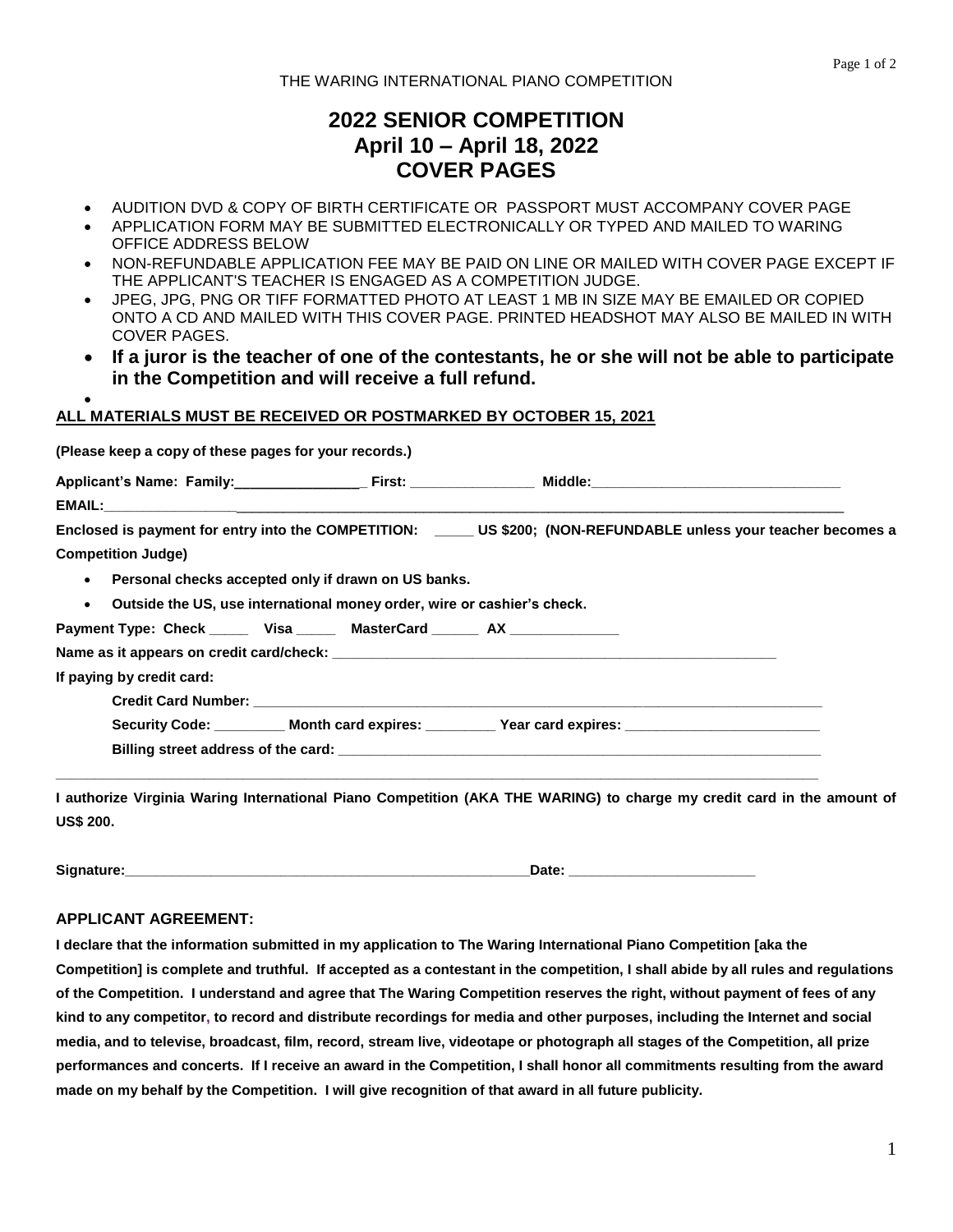# **2022 SENIOR COMPETITION April 10 – April 18, 2022 COVER PAGES**

- AUDITION DVD & COPY OF BIRTH CERTIFICATE OR PASSPORT MUST ACCOMPANY COVER PAGE
- APPLICATION FORM MAY BE SUBMITTED ELECTRONICALLY OR TYPED AND MAILED TO WARING OFFICE ADDRESS BELOW
- NON-REFUNDABLE APPLICATION FEE MAY BE PAID ON LINE OR MAILED WITH COVER PAGE EXCEPT IF THE APPLICANT'S TEACHER IS ENGAGED AS A COMPETITION JUDGE.
- JPEG, JPG, PNG OR TIFF FORMATTED PHOTO AT LEAST 1 MB IN SIZE MAY BE EMAILED OR COPIED ONTO A CD AND MAILED WITH THIS COVER PAGE. PRINTED HEADSHOT MAY ALSO BE MAILED IN WITH COVER PAGES.
- **If a juror is the teacher of one of the contestants, he or she will not be able to participate in the Competition and will receive a full refund.**

### $\bullet$ **ALL MATERIALS MUST BE RECEIVED OR POSTMARKED BY OCTOBER 15, 2021**

| (Please keep a copy of these pages for your records.) |                                                                                                                    |
|-------------------------------------------------------|--------------------------------------------------------------------------------------------------------------------|
|                                                       |                                                                                                                    |
|                                                       |                                                                                                                    |
|                                                       | Enclosed is payment for entry into the COMPETITION: ______ US \$200; (NON-REFUNDABLE unless your teacher becomes a |
| <b>Competition Judge)</b>                             |                                                                                                                    |
| • Personal checks accepted only if drawn on US banks. |                                                                                                                    |
|                                                       | . Outside the US, use international money order, wire or cashier's check.                                          |
|                                                       | Payment Type: Check ______ Visa ______ MasterCard _______ AX ______________                                        |
|                                                       |                                                                                                                    |
| If paying by credit card:                             |                                                                                                                    |
|                                                       |                                                                                                                    |
|                                                       | Security Code: ____________Month card expires: ____________Year card expires: _____________________                |
|                                                       |                                                                                                                    |
|                                                       |                                                                                                                    |

**I authorize Virginia Waring International Piano Competition (AKA THE WARING) to charge my credit card in the amount of US\$ 200.**

**Signature:\_\_\_\_\_\_\_\_\_\_\_\_\_\_\_\_\_\_\_\_\_\_\_\_\_\_\_\_\_\_\_\_\_\_\_\_\_\_\_\_\_\_\_\_\_\_\_\_\_\_\_\_Date: \_\_\_\_\_\_\_\_\_\_\_\_\_\_\_\_\_\_\_\_\_\_\_\_**

# **APPLICANT AGREEMENT:**

**I declare that the information submitted in my application to The Waring International Piano Competition [aka the Competition] is complete and truthful. If accepted as a contestant in the competition, I shall abide by all rules and regulations of the Competition. I understand and agree that The Waring Competition reserves the right, without payment of fees of any kind to any competitor, to record and distribute recordings for media and other purposes, including the Internet and social media, and to televise, broadcast, film, record, stream live, videotape or photograph all stages of the Competition, all prize performances and concerts. If I receive an award in the Competition, I shall honor all commitments resulting from the award made on my behalf by the Competition. I will give recognition of that award in all future publicity.**